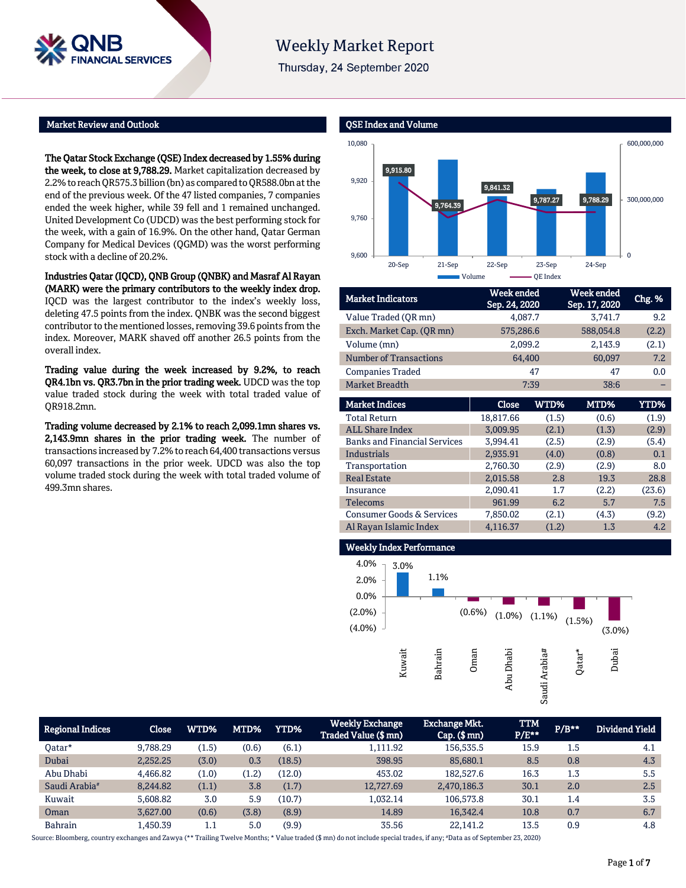

# **Weekly Market Report**

Thursday, 24 September 2020

## Market Review and Outlook

The Qatar Stock Exchange (QSE) Index decreased by 1.55% during the week, to close at 9,788.29. Market capitalization decreased by 2.2% to reach QR575.3billion (bn) as compared to QR588.0bn at the end of the previous week. Of the 47 listed companies, 7 companies ended the week higher, while 39 fell and 1 remained unchanged. United Development Co (UDCD) was the best performing stock for the week, with a gain of 16.9%. On the other hand, Qatar German Company for Medical Devices (QGMD) was the worst performing stock with a decline of 20.2%.

Industries Qatar (IQCD), QNB Group (QNBK) and Masraf Al Rayan (MARK) were the primary contributors to the weekly index drop. IQCD was the largest contributor to the index's weekly loss, deleting 47.5 points from the index. QNBK was the second biggest contributor to the mentioned losses, removing 39.6 points from the index. Moreover, MARK shaved off another 26.5 points from the overall index.

Trading value during the week increased by 9.2%, to reach QR4.1bn vs. QR3.7bn in the prior trading week. UDCD was the top value traded stock during the week with total traded value of QR918.2mn.

Trading volume decreased by 2.1% to reach 2,099.1mn shares vs. 2,143.9mn shares in the prior trading week. The number of transactions increased by 7.2% to reach 64,400 transactions versus 60,097 transactions in the prior week. UDCD was also the top volume traded stock during the week with total traded volume of 499.3mn shares.



| <b>Market Indicators</b>      | <b>Week</b> ended<br>Sep. 24, 2020 | Week ended<br>Sep. 17, 2020 | Chg. % |
|-------------------------------|------------------------------------|-----------------------------|--------|
| Value Traded (OR mn)          | 4,087.7                            | 3,741.7                     | 9.2    |
| Exch. Market Cap. (QR mn)     | 575,286.6                          | 588,054.8                   | (2.2)  |
| Volume (mn)                   | 2,099.2                            | 2,143.9                     | (2.1)  |
| <b>Number of Transactions</b> | 64,400                             | 60,097                      | 7.2    |
| <b>Companies Traded</b>       | 47                                 | 47                          | 0.0    |
| <b>Market Breadth</b>         | 7:39                               | 38:6                        |        |

| <b>Market Indices</b>                | Close     | WTD%  | MTD%  | YTD%   |
|--------------------------------------|-----------|-------|-------|--------|
| <b>Total Return</b>                  | 18,817.66 | (1.5) | (0.6) | (1.9)  |
| <b>ALL Share Index</b>               | 3.009.95  | (2.1) | (1.3) | (2.9)  |
| <b>Banks and Financial Services</b>  | 3,994.41  | (2.5) | (2.9) | (5.4)  |
| Industrials                          | 2,935.91  | (4.0) | (0.8) | 0.1    |
| Transportation                       | 2,760.30  | (2.9) | (2.9) | 8.0    |
| <b>Real Estate</b>                   | 2,015.58  | 2.8   | 19.3  | 28.8   |
| Insurance                            | 2,090.41  | 1.7   | (2.2) | (23.6) |
| Telecoms                             | 961.99    | 6.2   | 5.7   | 7.5    |
| <b>Consumer Goods &amp; Services</b> | 7,850.02  | (2.1) | (4.3) | (9.2)  |
| Al Rayan Islamic Index               | 4.116.37  | (1.2) | 1.3   | 4.2    |



| Regional Indices          | <b>Close</b> | WTD%  | MTD%  | YTD%   | <b>Weekly Exchange</b><br>Traded Value (\$ mn) | <b>Exchange Mkt.</b><br>$Cap.$ (\$ mn) | <b>TTM</b><br>$P/E***$ | $P/B***$ | Dividend Yield |
|---------------------------|--------------|-------|-------|--------|------------------------------------------------|----------------------------------------|------------------------|----------|----------------|
| Oatar*                    | 9,788.29     | (1.5) | (0.6) | (6.1)  | 1,111.92                                       | 156,535.5                              | 15.9                   | 1.5      | 4.1            |
| Dubai                     | 2,252.25     | (3.0) | 0.3   | (18.5) | 398.95                                         | 85,680.1                               | 8.5                    | 0.8      | 4.3            |
| Abu Dhabi                 | 4,466.82     | (1.0) | (1.2) | (12.0) | 453.02                                         | 182,527.6                              | 16.3                   | 1.3      | 5.5            |
| Saudi Arabia <sup>#</sup> | 8.244.82     | (1.1) | 3.8   | (1.7)  | 12.727.69                                      | 2,470,186.3                            | 30.1                   | 2.0      | 2.5            |
| Kuwait                    | 5,608.82     | 3.0   | 5.9   | (10.7) | 1,032.14                                       | 106,573.8                              | 30.1                   | 1.4      | 3.5            |
| Oman                      | 3.627.00     | (0.6) | (3.8) | (8.9)  | 14.89                                          | 16.342.4                               | 10.8                   | 0.7      | 6.7            |
| <b>Bahrain</b>            | 1,450.39     | 1.1   | 5.0   | (9.9)  | 35.56                                          | 22,141.2                               | 13.5                   | 0.9      | 4.8            |

Source: Bloomberg, country exchanges and Zawya (\*\* Trailing Twelve Months; \* Value traded (\$ mn) do not include special trades, if any; #Data as of September 23, 2020)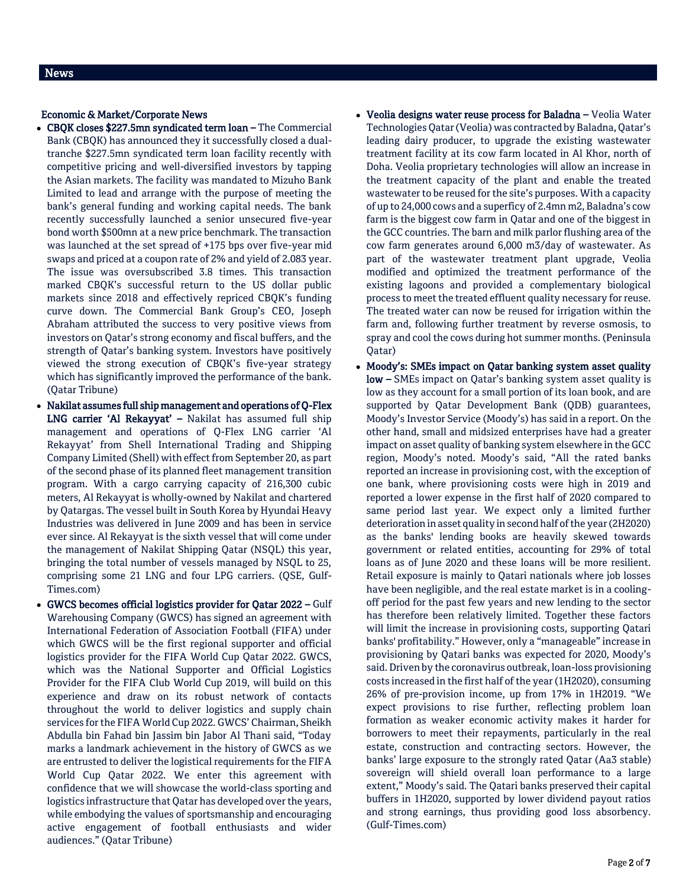## Economic & Market/Corporate News

- CBQK closes \$227.5mn syndicated term loan The Commercial Bank (CBQK) has announced they it successfully closed a dualtranche \$227.5mn syndicated term loan facility recently with competitive pricing and well-diversified investors by tapping the Asian markets. The facility was mandated to Mizuho Bank Limited to lead and arrange with the purpose of meeting the bank's general funding and working capital needs. The bank recently successfully launched a senior unsecured five-year bond worth \$500mn at a new price benchmark. The transaction was launched at the set spread of +175 bps over five-year mid swaps and priced at a coupon rate of 2% and yield of 2.083 year. The issue was oversubscribed 3.8 times. This transaction marked CBQK's successful return to the US dollar public markets since 2018 and effectively repriced CBQK's funding curve down. The Commercial Bank Group's CEO, Joseph Abraham attributed the success to very positive views from investors on Qatar's strong economy and fiscal buffers, and the strength of Qatar's banking system. Investors have positively viewed the strong execution of CBQK's five-year strategy which has significantly improved the performance of the bank. (Qatar Tribune)
- Nakilat assumes full ship management and operations of Q-Flex LNG carrier 'Al Rekayyat' – Nakilat has assumed full ship management and operations of Q-Flex LNG carrier 'Al Rekayyat' from Shell International Trading and Shipping Company Limited (Shell) with effect from September 20, as part of the second phase of its planned fleet management transition program. With a cargo carrying capacity of 216,300 cubic meters, Al Rekayyat is wholly-owned by Nakilat and chartered by Qatargas. The vessel built in South Korea by Hyundai Heavy Industries was delivered in June 2009 and has been in service ever since. Al Rekayyat is the sixth vessel that will come under the management of Nakilat Shipping Qatar (NSQL) this year, bringing the total number of vessels managed by NSQL to 25, comprising some 21 LNG and four LPG carriers. (QSE, Gulf-Times.com)
- GWCS becomes official logistics provider for Qatar 2022 Gulf Warehousing Company (GWCS) has signed an agreement with International Federation of Association Football (FIFA) under which GWCS will be the first regional supporter and official logistics provider for the FIFA World Cup Qatar 2022. GWCS, which was the National Supporter and Official Logistics Provider for the FIFA Club World Cup 2019, will build on this experience and draw on its robust network of contacts throughout the world to deliver logistics and supply chain services for the FIFA World Cup 2022. GWCS' Chairman, Sheikh Abdulla bin Fahad bin Jassim bin Jabor Al Thani said, "Today marks a landmark achievement in the history of GWCS as we are entrusted to deliver the logistical requirements for the FIFA World Cup Qatar 2022. We enter this agreement with confidence that we will showcase the world-class sporting and logistics infrastructure that Qatar has developed over the years, while embodying the values of sportsmanship and encouraging active engagement of football enthusiasts and wider audiences." (Qatar Tribune)
- Veolia designs water reuse process for Baladna Veolia Water Technologies Qatar (Veolia) was contracted by Baladna, Qatar's leading dairy producer, to upgrade the existing wastewater treatment facility at its cow farm located in Al Khor, north of Doha. Veolia proprietary technologies will allow an increase in the treatment capacity of the plant and enable the treated wastewater to be reused for the site's purposes. With a capacity of up to 24,000 cows and a superficy of 2.4mn m2, Baladna's cow farm is the biggest cow farm in Qatar and one of the biggest in the GCC countries. The barn and milk parlor flushing area of the cow farm generates around 6,000 m3/day of wastewater. As part of the wastewater treatment plant upgrade, Veolia modified and optimized the treatment performance of the existing lagoons and provided a complementary biological process to meet the treated effluent quality necessary for reuse. The treated water can now be reused for irrigation within the farm and, following further treatment by reverse osmosis, to spray and cool the cows during hot summer months. (Peninsula Qatar)
- Moody's: SMEs impact on Qatar banking system asset quality low – SMEs impact on Qatar's banking system asset quality is low as they account for a small portion of its loan book, and are supported by Qatar Development Bank (QDB) guarantees, Moody's Investor Service (Moody's) has said in a report. On the other hand, small and midsized enterprises have had a greater impact on asset quality of banking system elsewhere in the GCC region, Moody's noted. Moody's said, "All the rated banks reported an increase in provisioning cost, with the exception of one bank, where provisioning costs were high in 2019 and reported a lower expense in the first half of 2020 compared to same period last year. We expect only a limited further deterioration in asset quality in second half of the year (2H2020) as the banks' lending books are heavily skewed towards government or related entities, accounting for 29% of total loans as of June 2020 and these loans will be more resilient. Retail exposure is mainly to Qatari nationals where job losses have been negligible, and the real estate market is in a coolingoff period for the past few years and new lending to the sector has therefore been relatively limited. Together these factors will limit the increase in provisioning costs, supporting Qatari banks' profitability." However, only a "manageable" increase in provisioning by Qatari banks was expected for 2020, Moody's said. Driven by the coronavirus outbreak, loan-loss provisioning costs increased in the first half of the year (1H2020), consuming 26% of pre-provision income, up from 17% in 1H2019. "We expect provisions to rise further, reflecting problem loan formation as weaker economic activity makes it harder for borrowers to meet their repayments, particularly in the real estate, construction and contracting sectors. However, the banks' large exposure to the strongly rated Qatar (Aa3 stable) sovereign will shield overall loan performance to a large extent," Moody's said. The Qatari banks preserved their capital buffers in 1H2020, supported by lower dividend payout ratios and strong earnings, thus providing good loss absorbency. (Gulf-Times.com)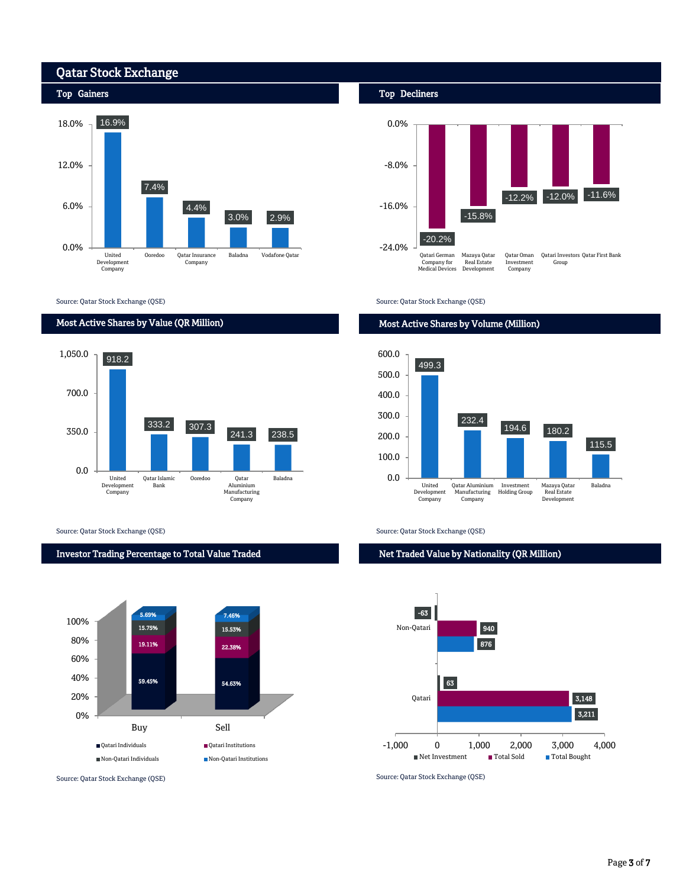

Source: Qatar Stock Exchange (QSE)

## Most Active Shares by Value (QR Million)



Source: Qatar Stock Exchange (QSE) Source: Qatar Stock Exchange (QSE)

## Investor Trading Percentage to Total Value Traded



## Top Decliners



Source: Qatar Stock Exchange (QSE)

## Most Active Shares by Volume (Million)



Net Traded Value by Nationality (QR Million)



Source: Qatar Stock Exchange (QSE) Source: Qatar Stock Exchange (QSE)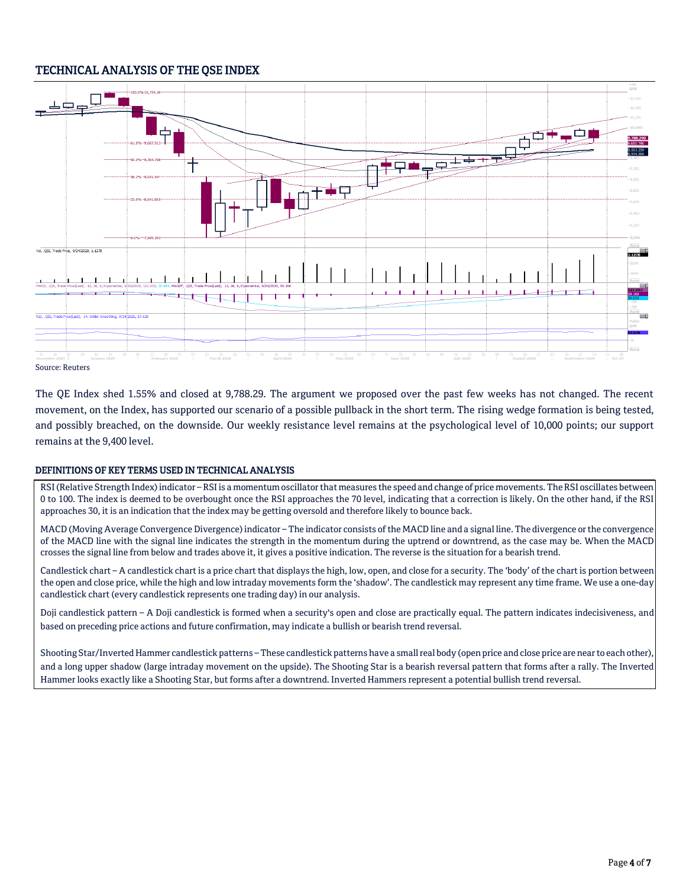## TECHNICAL ANALYSIS OF THE QSE INDEX



Source: Reuters

The QE Index shed 1.55% and closed at 9,788.29. The argument we proposed over the past few weeks has not changed. The recent movement, on the Index, has supported our scenario of a possible pullback in the short term. The rising wedge formation is being tested, and possibly breached, on the downside. Our weekly resistance level remains at the psychological level of 10,000 points; our support remains at the 9,400 level.

## DEFINITIONS OF KEY TERMS USED IN TECHNICAL ANALYSIS

RSI (Relative Strength Index) indicator – RSI is a momentum oscillator that measures the speed and change of price movements. The RSI oscillates between 0 to 100. The index is deemed to be overbought once the RSI approaches the 70 level, indicating that a correction is likely. On the other hand, if the RSI approaches 30, it is an indication that the index may be getting oversold and therefore likely to bounce back.

MACD (Moving Average Convergence Divergence) indicator – The indicator consists of the MACD line and a signal line. The divergence or the convergence of the MACD line with the signal line indicates the strength in the momentum during the uptrend or downtrend, as the case may be. When the MACD crosses the signal line from below and trades above it, it gives a positive indication. The reverse is the situation for a bearish trend.

Candlestick chart – A candlestick chart is a price chart that displays the high, low, open, and close for a security. The 'body' of the chart is portion between the open and close price, while the high and low intraday movements form the 'shadow'. The candlestick may represent any time frame. We use a one-day candlestick chart (every candlestick represents one trading day) in our analysis.

Doji candlestick pattern – A Doji candlestick is formed when a security's open and close are practically equal. The pattern indicates indecisiveness, and based on preceding price actions and future confirmation, may indicate a bullish or bearish trend reversal.

Shooting Star/Inverted Hammer candlestick patterns – These candlestick patterns have a small real body (open price and close price are near to each other), and a long upper shadow (large intraday movement on the upside). The Shooting Star is a bearish reversal pattern that forms after a rally. The Inverted Hammer looks exactly like a Shooting Star, but forms after a downtrend. Inverted Hammers represent a potential bullish trend reversal.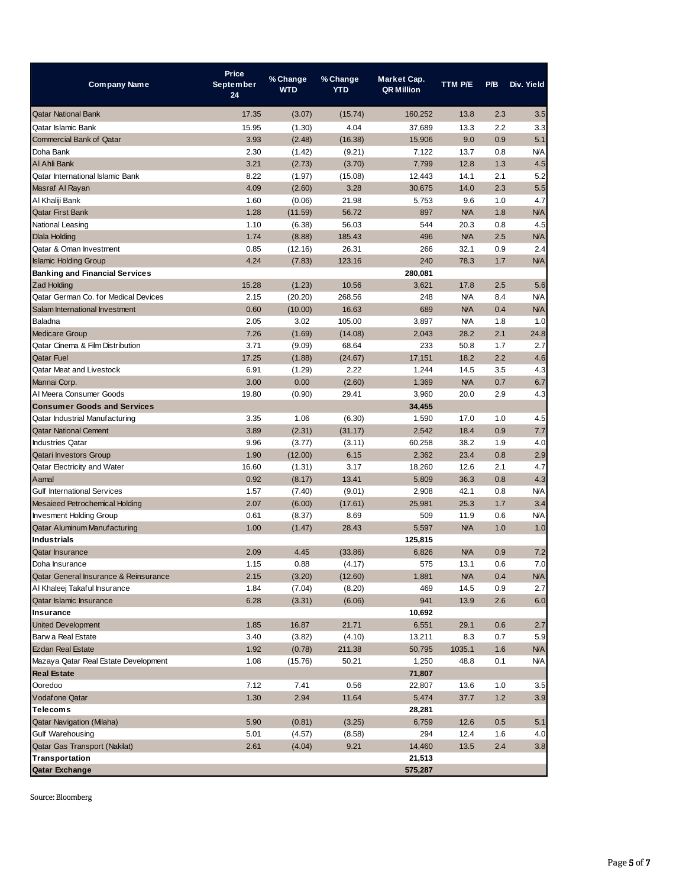| <b>Company Name</b>                     | Price<br><b>September</b><br>24 | % Change<br><b>WTD</b> | % Change<br><b>YTD</b> | Market Cap.<br><b>QR Million</b> | TTM P/E    | P/B | Div. Yield |
|-----------------------------------------|---------------------------------|------------------------|------------------------|----------------------------------|------------|-----|------------|
| <b>Qatar National Bank</b>              | 17.35                           | (3.07)                 | (15.74)                | 160,252                          | 13.8       | 2.3 | 3.5        |
| Qatar Islamic Bank                      | 15.95                           | (1.30)                 | 4.04                   | 37,689                           | 13.3       | 2.2 | 3.3        |
| <b>Commercial Bank of Qatar</b>         | 3.93                            | (2.48)                 | (16.38)                | 15,906                           | 9.0        | 0.9 | 5.1        |
| Doha Bank                               | 2.30                            | (1.42)                 | (9.21)                 | 7,122                            | 13.7       | 0.8 | <b>N/A</b> |
| Al Ahli Bank                            | 3.21                            | (2.73)                 | (3.70)                 | 7,799                            | 12.8       | 1.3 | 4.5        |
| <b>Qatar International Islamic Bank</b> | 8.22                            | (1.97)                 | (15.08)                | 12,443                           | 14.1       | 2.1 | 5.2        |
| Masraf Al Rayan                         | 4.09                            | (2.60)                 | 3.28                   | 30,675                           | 14.0       | 2.3 | 5.5        |
| Al Khaliji Bank                         | 1.60                            | (0.06)                 | 21.98                  | 5,753                            | 9.6        | 1.0 | 4.7        |
| <b>Qatar First Bank</b>                 | 1.28                            | (11.59)                | 56.72                  | 897                              | <b>N/A</b> | 1.8 | <b>N/A</b> |
| National Leasing                        | 1.10                            | (6.38)                 | 56.03                  | 544                              | 20.3       | 0.8 | 4.5        |
| <b>Dlala Holding</b>                    | 1.74                            | (8.88)                 | 185.43                 | 496                              | <b>N/A</b> | 2.5 | <b>N/A</b> |
| Qatar & Oman Investment                 | 0.85                            | (12.16)                | 26.31                  | 266                              | 32.1       | 0.9 | 2.4        |
| <b>Islamic Holding Group</b>            | 4.24                            | (7.83)                 | 123.16                 | 240                              | 78.3       | 1.7 | <b>N/A</b> |
| <b>Banking and Financial Services</b>   |                                 |                        |                        | 280,081                          |            |     |            |
| Zad Holding                             | 15.28                           | (1.23)                 | 10.56                  | 3,621                            | 17.8       | 2.5 | 5.6        |
| Qatar German Co. for Medical Devices    | 2.15                            | (20.20)                | 268.56                 | 248                              | N/A        | 8.4 | <b>N/A</b> |
| Salam International Investment          | 0.60                            | (10.00)                | 16.63                  | 689                              | <b>N/A</b> | 0.4 | <b>N/A</b> |
| Baladna                                 | 2.05                            | 3.02                   | 105.00                 | 3,897                            | N/A        | 1.8 | 1.0        |
| <b>Medicare Group</b>                   | 7.26                            | (1.69)                 | (14.08)                | 2,043                            | 28.2       | 2.1 | 24.8       |
| Qatar Cinema & Film Distribution        | 3.71                            | (9.09)                 | 68.64                  | 233                              | 50.8       | 1.7 | 2.7        |
| <b>Qatar Fuel</b>                       | 17.25                           | (1.88)                 | (24.67)                | 17,151                           | 18.2       | 2.2 | 4.6        |
| Qatar Meat and Livestock                | 6.91                            | (1.29)                 | 2.22                   | 1,244                            | 14.5       | 3.5 | 4.3        |
| Mannai Corp.                            | 3.00                            | 0.00                   | (2.60)                 | 1,369                            | <b>N/A</b> | 0.7 | 6.7        |
| Al Meera Consumer Goods                 | 19.80                           | (0.90)                 | 29.41                  | 3,960                            | 20.0       | 2.9 | 4.3        |
| <b>Consumer Goods and Services</b>      |                                 |                        |                        | 34,455                           |            |     |            |
| Qatar Industrial Manufacturing          | 3.35                            | 1.06                   | (6.30)                 | 1,590                            | 17.0       | 1.0 | 4.5        |
| <b>Qatar National Cement</b>            | 3.89                            | (2.31)                 | (31.17)                | 2,542                            | 18.4       | 0.9 | 7.7        |
| <b>Industries Qatar</b>                 | 9.96                            | (3.77)                 | (3.11)                 | 60,258                           | 38.2       | 1.9 | 4.0        |
| Qatari Investors Group                  | 1.90                            | (12.00)                | 6.15                   | 2,362                            | 23.4       | 0.8 | 2.9        |
| Qatar Electricity and Water             | 16.60                           | (1.31)                 | 3.17                   | 18,260                           | 12.6       | 2.1 | 4.7        |
| Aamal                                   | 0.92                            | (8.17)                 | 13.41                  | 5,809                            | 36.3       | 0.8 | 4.3        |
| <b>Gulf International Services</b>      | 1.57                            | (7.40)                 | (9.01)                 | 2,908                            | 42.1       | 0.8 | <b>N/A</b> |
| <b>Mesaieed Petrochemical Holding</b>   | 2.07                            | (6.00)                 | (17.61)                | 25,981                           | 25.3       | 1.7 | 3.4        |
| <b>Invesment Holding Group</b>          | 0.61                            | (8.37)                 | 8.69                   | 509                              | 11.9       | 0.6 | <b>N/A</b> |
| Qatar Aluminum Manufacturing            | 1.00                            | (1.47)                 | 28.43                  | 5,597                            | <b>N/A</b> | 1.0 | 1.0        |
| <b>Industrials</b>                      |                                 |                        |                        | 125,815                          |            |     |            |
| <b>Qatar Insurance</b>                  | 2.09                            | 4.45                   | (33.86)                | 6,826                            | <b>N/A</b> | 0.9 | 7.2        |
| Doha Insurance                          | 1.15                            | 0.88                   | (4.17)                 | 575                              | 13.1       | 0.6 | 7.0        |
| Qatar General Insurance & Reinsurance   | 2.15                            | (3.20)                 | (12.60)                | 1,881                            | <b>N/A</b> | 0.4 | N/A        |
| Al Khaleej Takaful Insurance            | 1.84                            | (7.04)                 | (8.20)                 | 469                              | 14.5       | 0.9 | 2.7        |
| Qatar Islamic Insurance                 | 6.28                            | (3.31)                 | (6.06)                 | 941                              | 13.9       | 2.6 | 6.0        |
| Insurance                               |                                 |                        |                        | 10,692                           |            |     |            |
| <b>United Development</b>               | 1.85                            | 16.87                  | 21.71                  | 6,551                            | 29.1       | 0.6 | 2.7        |
| Barw a Real Estate                      | 3.40                            | (3.82)                 | (4.10)                 | 13,211                           | 8.3        | 0.7 | 5.9        |
| <b>Ezdan Real Estate</b>                | 1.92                            | (0.78)                 | 211.38                 | 50,795                           | 1035.1     | 1.6 | <b>N/A</b> |
| Mazaya Qatar Real Estate Development    | 1.08                            | (15.76)                | 50.21                  | 1,250                            | 48.8       | 0.1 | <b>N/A</b> |
| <b>Real Estate</b>                      |                                 |                        |                        | 71,807                           |            |     |            |
| Ooredoo                                 | 7.12                            | 7.41                   | 0.56                   | 22,807                           | 13.6       | 1.0 | 3.5        |
| <b>Vodafone Qatar</b>                   | 1.30                            | 2.94                   | 11.64                  | 5,474                            | 37.7       | 1.2 | 3.9        |
| <b>Telecoms</b>                         |                                 |                        |                        | 28,281                           |            |     |            |
| <b>Qatar Navigation (Milaha)</b>        | 5.90                            | (0.81)                 | (3.25)                 | 6,759                            | 12.6       | 0.5 | 5.1        |
| <b>Gulf Warehousing</b>                 | 5.01                            | (4.57)                 | (8.58)                 | 294                              | 12.4       | 1.6 | 4.0        |
| Qatar Gas Transport (Nakilat)           | 2.61                            | (4.04)                 | 9.21                   | 14,460                           | 13.5       | 2.4 | 3.8        |
| Transportation                          |                                 |                        |                        | 21,513                           |            |     |            |
| Qatar Exchange                          |                                 |                        |                        | 575,287                          |            |     |            |

Source: Bloomberg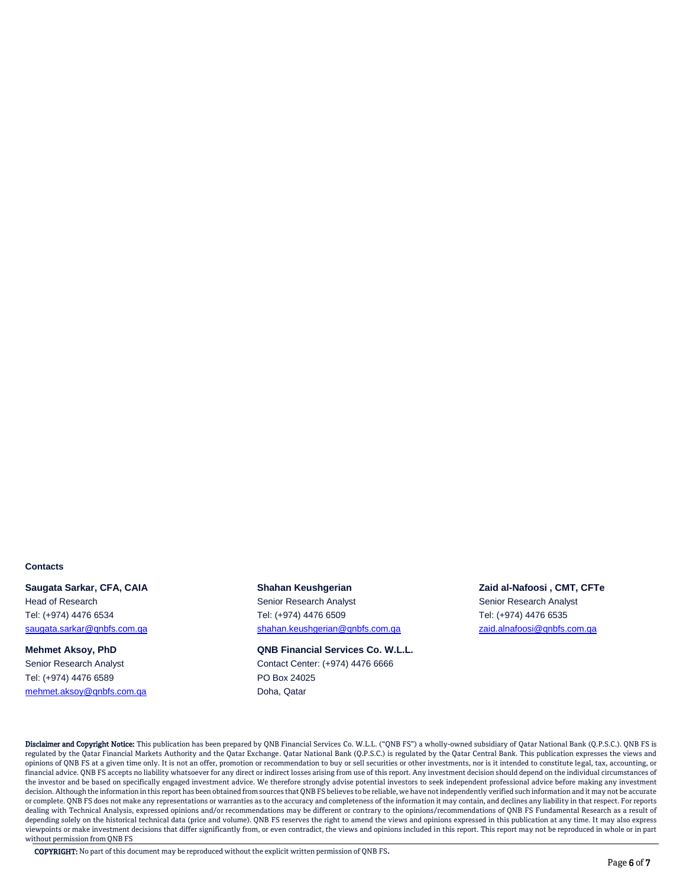## **Contacts**

**Saugata Sarkar, CFA, CAIA Shahan Keushgerian Zaid al-Nafoosi , CMT, CFTe**

Tel: (+974) 4476 6589 PO Box 24025 [mehmet.aksoy@qnbfs.com.qa](mailto:mehmet.aksoy@qnbfs.com.qa) booksender and Doha, Qatar

Head of Research Senior Research Analyst Senior Research Analyst Tel: (+974) 4476 6534 Tel: (+974) 4476 6509 Tel: (+974) 4476 6535 [saugata.sarkar@qnbfs.com.qa](mailto:saugata.sarkar@qnbfs.com.qa) [shahan.keushgerian@qnbfs.com.qa](mailto:sahbi.alkasraoui@qnbfs.com.qa) [zaid.alnafoosi@qnbfs.com.qa](mailto:sahbi.alkasraoui@qnbfs.com.qa)

**Mehmet Aksoy, PhD QNB Financial Services Co. W.L.L.** Senior Research Analyst Contact Center: (+974) 4476 6666

Disclaimer and Copyright Notice: This publication has been prepared by QNB Financial Services Co. W.L.L. ("QNB FS") a wholly-owned subsidiary of Qatar National Bank (Q.P.S.C.). QNB FS is regulated by the Qatar Financial Markets Authority and the Qatar Exchange. Qatar National Bank (Q.P.S.C.) is regulated by the Qatar Central Bank. This publication expresses the views and opinions of QNB FS at a given time only. It is not an offer, promotion or recommendation to buy or sell securities or other investments, nor is it intended to constitute legal, tax, accounting, or financial advice. QNB FS accepts no liability whatsoever for any direct or indirect losses arising from use of this report. Any investment decision should depend on the individual circumstances of the investor and be based on specifically engaged investment advice. We therefore strongly advise potential investors to seek independent professional advice before making any investment decision. Although the information in this report has been obtained from sources that QNB FS believes to be reliable, we have not independently verified such information and it may not be accurate or complete. QNB FS does not make any representations or warranties as to the accuracy and completeness of the information it may contain, and declines any liability in that respect. For reports dealing with Technical Analysis, expressed opinions and/or recommendations may be different or contrary to the opinions/recommendations of QNB FS Fundamental Research as a result of depending solely on the historical technical data (price and volume). QNB FS reserves the right to amend the views and opinions expressed in this publication at any time. It may also express viewpoints or make investment decisions that differ significantly from, or even contradict, the views and opinions included in this report. This report may not be reproduced in whole or in part without permission from QNB FS

COPYRIGHT: No part of this document may be reproduced without the explicit written permission of QNB FS.